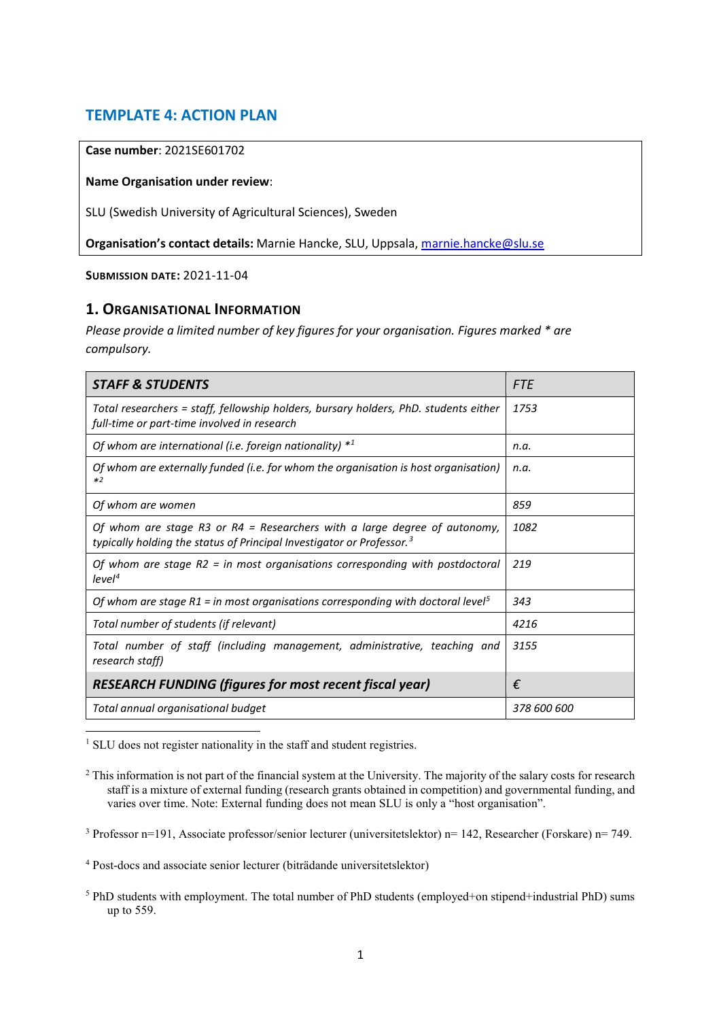# **TEMPLATE 4: ACTION PLAN**

#### **Case number**: 2021SE601702

#### **Name Organisation under review**:

SLU (Swedish University of Agricultural Sciences), Sweden

**Organisation's contact details:** Marnie Hancke, SLU, Uppsala, [marnie.hancke@slu.se](mailto:marnie.hancke@slu.se)

**SUBMISSION DATE:** 2021-11-04

### **1. ORGANISATIONAL INFORMATION**

*Please provide a limited number of key figures for your organisation. Figures marked \* are compulsory.*

| <b>STAFF &amp; STUDENTS</b>                                                                                                                                    | <b>FTE</b>  |
|----------------------------------------------------------------------------------------------------------------------------------------------------------------|-------------|
| Total researchers = staff, fellowship holders, bursary holders, PhD. students either<br>full-time or part-time involved in research                            | 1753        |
| Of whom are international (i.e. foreign nationality) $*1$                                                                                                      | n.a.        |
| Of whom are externally funded (i.e. for whom the organisation is host organisation)<br>$*2$                                                                    | n.a.        |
| Of whom are women                                                                                                                                              | 859         |
| Of whom are stage R3 or R4 = Researchers with a large degree of autonomy,<br>typically holding the status of Principal Investigator or Professor. <sup>3</sup> | 1082        |
| Of whom are stage $R2 = in$ most organisations corresponding with postdoctoral<br>level <sup>4</sup>                                                           | 219         |
| Of whom are stage $R1$ = in most organisations corresponding with doctoral level <sup>5</sup>                                                                  | 343         |
| Total number of students (if relevant)                                                                                                                         | 4216        |
| Total number of staff (including management, administrative, teaching and<br>research staff)                                                                   | 3155        |
| <b>RESEARCH FUNDING (figures for most recent fiscal year)</b>                                                                                                  | €           |
| Total annual organisational budget                                                                                                                             | 378 600 600 |

<span id="page-0-0"></span> $\overline{a}$ <sup>1</sup> SLU does not register nationality in the staff and student registries.

<span id="page-0-1"></span><sup>2</sup> This information is not part of the financial system at the University. The majority of the salary costs for research staff is a mixture of external funding (research grants obtained in competition) and governmental funding, and varies over time. Note: External funding does not mean SLU is only a "host organisation".

<span id="page-0-2"></span><sup>3</sup> Professor n=191, Associate professor/senior lecturer (universitetslektor) n= 142, Researcher (Forskare) n= 749.

<span id="page-0-3"></span><sup>4</sup> Post-docs and associate senior lecturer (biträdande universitetslektor)

<span id="page-0-4"></span><sup>5</sup> PhD students with employment. The total number of PhD students (employed+on stipend+industrial PhD) sums up to 559.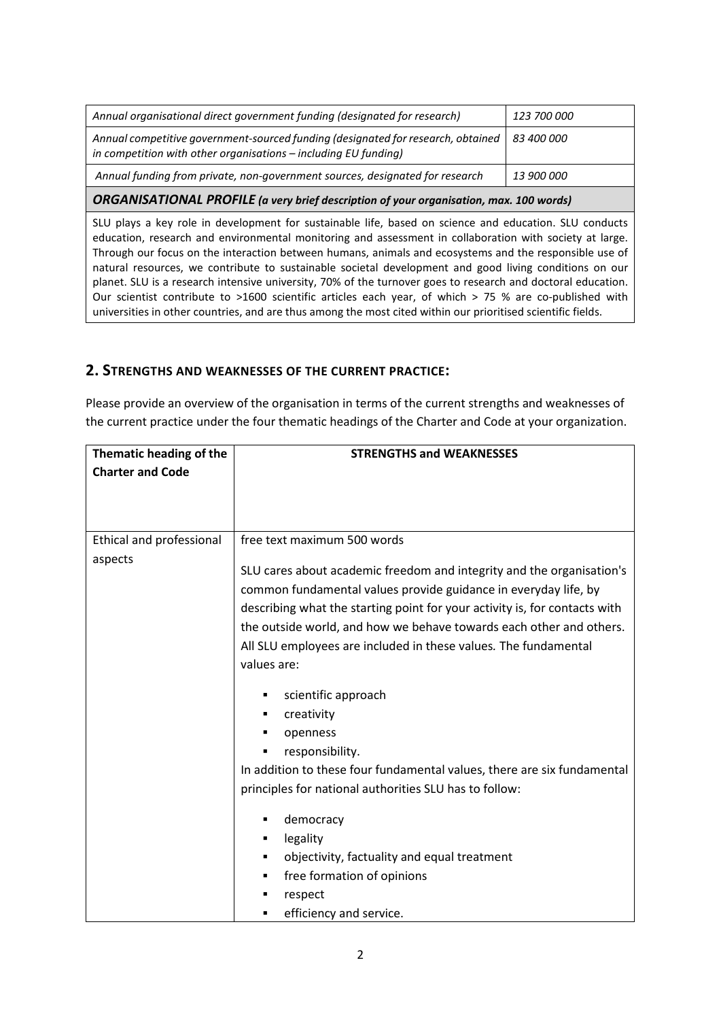| <b>ORGANISATIONAL PROFILE</b> (a very brief description of your organisation, max. 100 words)                                                       |                    |  |  |  |
|-----------------------------------------------------------------------------------------------------------------------------------------------------|--------------------|--|--|--|
| Annual funding from private, non-government sources, designated for research                                                                        | <i>13 900 000</i>  |  |  |  |
| Annual competitive government-sourced funding (designated for research, obtained<br>in competition with other organisations - including EU funding) | <i>83 400 000</i>  |  |  |  |
| Annual organisational direct government funding (designated for research)                                                                           | <i>123 700 000</i> |  |  |  |

SLU plays a key role in development for sustainable life, based on science and education. SLU conducts education, research and environmental monitoring and assessment in collaboration with society at large. Through our focus on the interaction between humans, animals and ecosystems and the responsible use of natural resources, we contribute to sustainable societal development and good living conditions on our planet. SLU is a research intensive university, 70% of the turnover goes to research and doctoral education. Our scientist contribute to >1600 scientific articles each year, of which > 75 % are co-published with universities in other countries, and are thus among the most cited within our prioritised scientific fields.

### **2. STRENGTHS AND WEAKNESSES OF THE CURRENT PRACTICE:**

Please provide an overview of the organisation in terms of the current strengths and weaknesses of the current practice under the four thematic headings of the Charter and Code at your organization.

| Thematic heading of the                    | <b>STRENGTHS and WEAKNESSES</b>                                                                      |
|--------------------------------------------|------------------------------------------------------------------------------------------------------|
| <b>Charter and Code</b>                    |                                                                                                      |
|                                            |                                                                                                      |
|                                            |                                                                                                      |
| <b>Ethical and professional</b><br>aspects | free text maximum 500 words<br>SLU cares about academic freedom and integrity and the organisation's |
|                                            | common fundamental values provide guidance in everyday life, by                                      |
|                                            | describing what the starting point for your activity is, for contacts with                           |
|                                            | the outside world, and how we behave towards each other and others.                                  |
|                                            | All SLU employees are included in these values. The fundamental                                      |
|                                            | values are:                                                                                          |
|                                            | scientific approach<br>٠                                                                             |
|                                            | creativity<br>٠                                                                                      |
|                                            | openness<br>٠                                                                                        |
|                                            | responsibility.<br>٠                                                                                 |
|                                            | In addition to these four fundamental values, there are six fundamental                              |
|                                            | principles for national authorities SLU has to follow:                                               |
|                                            | democracy<br>٠                                                                                       |
|                                            | legality<br>٠                                                                                        |
|                                            | objectivity, factuality and equal treatment<br>٠                                                     |
|                                            | free formation of opinions<br>٠                                                                      |
|                                            | respect<br>٠                                                                                         |
|                                            | efficiency and service.<br>٠                                                                         |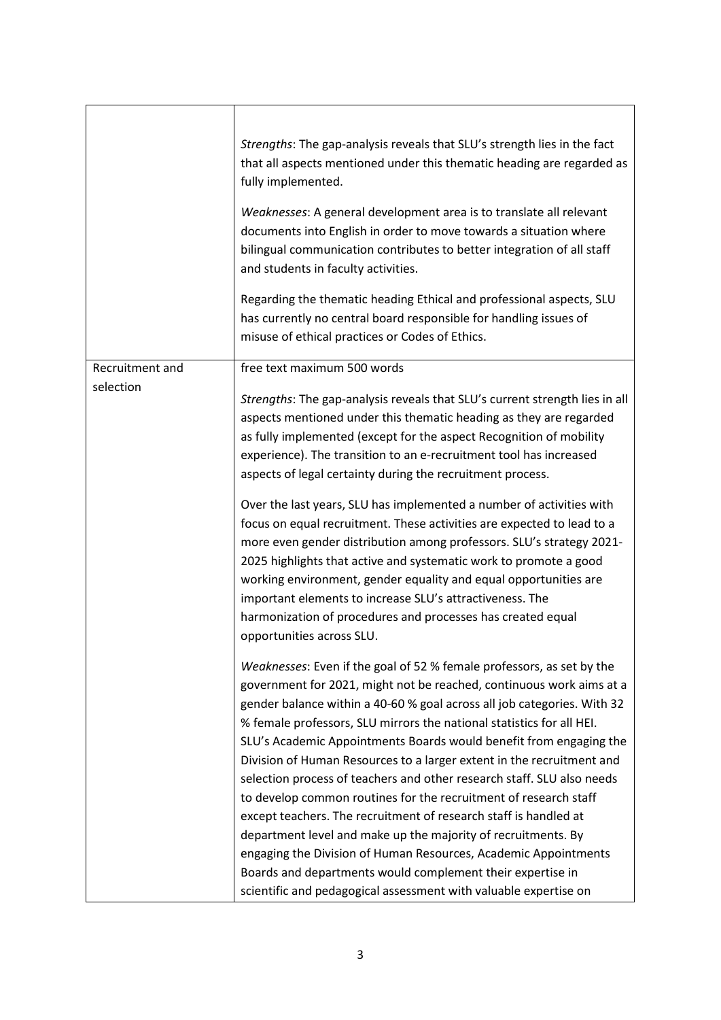|                 | Strengths: The gap-analysis reveals that SLU's strength lies in the fact<br>that all aspects mentioned under this thematic heading are regarded as<br>fully implemented.<br>Weaknesses: A general development area is to translate all relevant<br>documents into English in order to move towards a situation where<br>bilingual communication contributes to better integration of all staff<br>and students in faculty activities.<br>Regarding the thematic heading Ethical and professional aspects, SLU<br>has currently no central board responsible for handling issues of<br>misuse of ethical practices or Codes of Ethics.                                                                                                                                                                                                                                                                                                    |
|-----------------|------------------------------------------------------------------------------------------------------------------------------------------------------------------------------------------------------------------------------------------------------------------------------------------------------------------------------------------------------------------------------------------------------------------------------------------------------------------------------------------------------------------------------------------------------------------------------------------------------------------------------------------------------------------------------------------------------------------------------------------------------------------------------------------------------------------------------------------------------------------------------------------------------------------------------------------|
| Recruitment and | free text maximum 500 words                                                                                                                                                                                                                                                                                                                                                                                                                                                                                                                                                                                                                                                                                                                                                                                                                                                                                                              |
| selection       | Strengths: The gap-analysis reveals that SLU's current strength lies in all<br>aspects mentioned under this thematic heading as they are regarded<br>as fully implemented (except for the aspect Recognition of mobility<br>experience). The transition to an e-recruitment tool has increased<br>aspects of legal certainty during the recruitment process.                                                                                                                                                                                                                                                                                                                                                                                                                                                                                                                                                                             |
|                 | Over the last years, SLU has implemented a number of activities with<br>focus on equal recruitment. These activities are expected to lead to a<br>more even gender distribution among professors. SLU's strategy 2021-<br>2025 highlights that active and systematic work to promote a good<br>working environment, gender equality and equal opportunities are<br>important elements to increase SLU's attractiveness. The<br>harmonization of procedures and processes has created equal<br>opportunities across SLU.                                                                                                                                                                                                                                                                                                                                                                                                                  |
|                 | Weaknesses: Even if the goal of 52 % female professors, as set by the<br>government for 2021, might not be reached, continuous work aims at a<br>gender balance within a 40-60 % goal across all job categories. With 32<br>% female professors, SLU mirrors the national statistics for all HEI.<br>SLU's Academic Appointments Boards would benefit from engaging the<br>Division of Human Resources to a larger extent in the recruitment and<br>selection process of teachers and other research staff. SLU also needs<br>to develop common routines for the recruitment of research staff<br>except teachers. The recruitment of research staff is handled at<br>department level and make up the majority of recruitments. By<br>engaging the Division of Human Resources, Academic Appointments<br>Boards and departments would complement their expertise in<br>scientific and pedagogical assessment with valuable expertise on |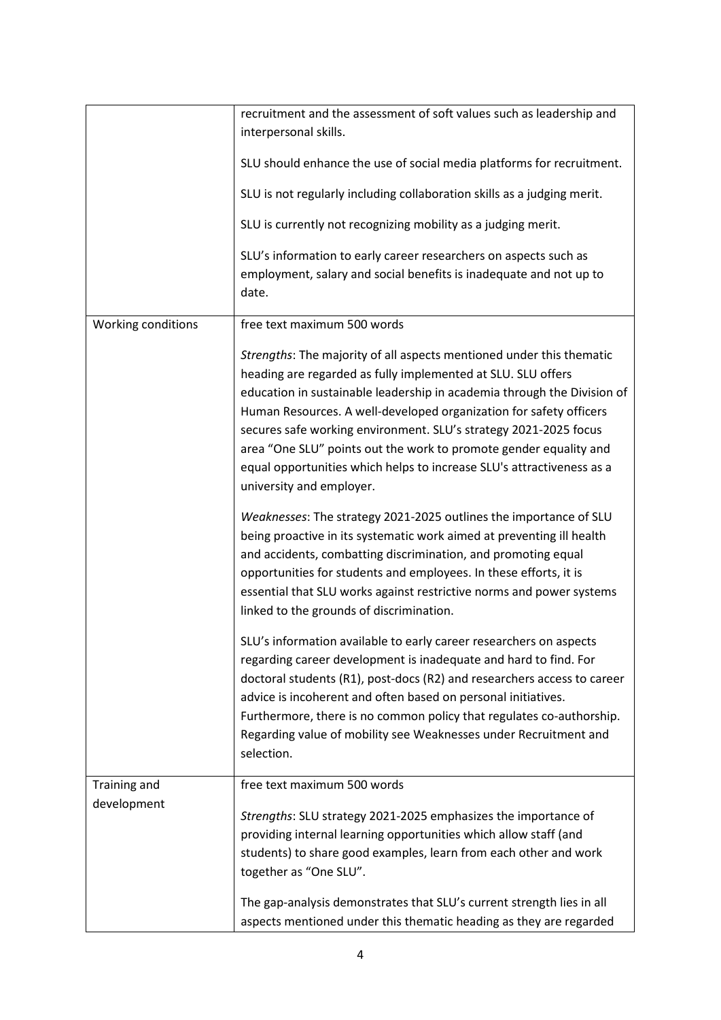|                    | recruitment and the assessment of soft values such as leadership and                                                                                                                                                                                                                                                                                                                                                                                                                                                                |
|--------------------|-------------------------------------------------------------------------------------------------------------------------------------------------------------------------------------------------------------------------------------------------------------------------------------------------------------------------------------------------------------------------------------------------------------------------------------------------------------------------------------------------------------------------------------|
|                    | interpersonal skills.                                                                                                                                                                                                                                                                                                                                                                                                                                                                                                               |
|                    | SLU should enhance the use of social media platforms for recruitment.                                                                                                                                                                                                                                                                                                                                                                                                                                                               |
|                    | SLU is not regularly including collaboration skills as a judging merit.                                                                                                                                                                                                                                                                                                                                                                                                                                                             |
|                    | SLU is currently not recognizing mobility as a judging merit.                                                                                                                                                                                                                                                                                                                                                                                                                                                                       |
|                    | SLU's information to early career researchers on aspects such as<br>employment, salary and social benefits is inadequate and not up to<br>date.                                                                                                                                                                                                                                                                                                                                                                                     |
| Working conditions | free text maximum 500 words                                                                                                                                                                                                                                                                                                                                                                                                                                                                                                         |
|                    | Strengths: The majority of all aspects mentioned under this thematic<br>heading are regarded as fully implemented at SLU. SLU offers<br>education in sustainable leadership in academia through the Division of<br>Human Resources. A well-developed organization for safety officers<br>secures safe working environment. SLU's strategy 2021-2025 focus<br>area "One SLU" points out the work to promote gender equality and<br>equal opportunities which helps to increase SLU's attractiveness as a<br>university and employer. |
|                    | Weaknesses: The strategy 2021-2025 outlines the importance of SLU<br>being proactive in its systematic work aimed at preventing ill health<br>and accidents, combatting discrimination, and promoting equal<br>opportunities for students and employees. In these efforts, it is<br>essential that SLU works against restrictive norms and power systems<br>linked to the grounds of discrimination.                                                                                                                                |
|                    | SLU's information available to early career researchers on aspects<br>regarding career development is inadequate and hard to find. For<br>doctoral students (R1), post-docs (R2) and researchers access to career<br>advice is incoherent and often based on personal initiatives.<br>Furthermore, there is no common policy that regulates co-authorship.<br>Regarding value of mobility see Weaknesses under Recruitment and<br>selection.                                                                                        |
| Training and       | free text maximum 500 words                                                                                                                                                                                                                                                                                                                                                                                                                                                                                                         |
| development        | Strengths: SLU strategy 2021-2025 emphasizes the importance of<br>providing internal learning opportunities which allow staff (and<br>students) to share good examples, learn from each other and work<br>together as "One SLU".                                                                                                                                                                                                                                                                                                    |
|                    | The gap-analysis demonstrates that SLU's current strength lies in all<br>aspects mentioned under this thematic heading as they are regarded                                                                                                                                                                                                                                                                                                                                                                                         |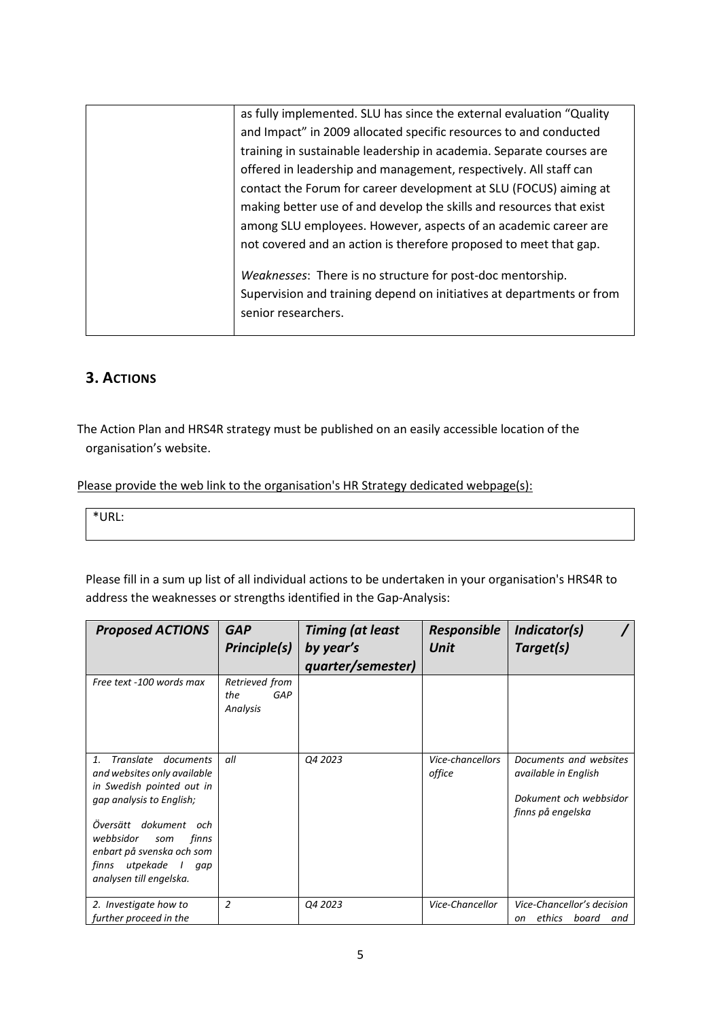| as fully implemented. SLU has since the external evaluation "Quality  |
|-----------------------------------------------------------------------|
| and Impact" in 2009 allocated specific resources to and conducted     |
| training in sustainable leadership in academia. Separate courses are  |
| offered in leadership and management, respectively. All staff can     |
| contact the Forum for career development at SLU (FOCUS) aiming at     |
| making better use of and develop the skills and resources that exist  |
| among SLU employees. However, aspects of an academic career are       |
| not covered and an action is therefore proposed to meet that gap.     |
| Weaknesses: There is no structure for post-doc mentorship.            |
|                                                                       |
| Supervision and training depend on initiatives at departments or from |
| senior researchers.                                                   |
|                                                                       |

## **3. ACTIONS**

The Action Plan and HRS4R strategy must be published on an easily accessible location of the organisation's website.

Please provide the web link to the organisation's HR Strategy dedicated webpage(s):

\*URL:

Please fill in a sum up list of all individual actions to be undertaken in your organisation's HRS4R to address the weaknesses or strengths identified in the Gap-Analysis:

| <b>Proposed ACTIONS</b>                                                                                                                                                                                                                                              | <b>GAP</b><br>Principle(s)               | <b>Timing (at least</b><br>by year's<br>quarter/semester) | <b>Responsible</b><br>Unit | Indicator(s)<br>Target(s)                                                                     |
|----------------------------------------------------------------------------------------------------------------------------------------------------------------------------------------------------------------------------------------------------------------------|------------------------------------------|-----------------------------------------------------------|----------------------------|-----------------------------------------------------------------------------------------------|
| Free text -100 words max                                                                                                                                                                                                                                             | Retrieved from<br>the<br>GAP<br>Analysis |                                                           |                            |                                                                                               |
| Translate<br>documents<br>1.<br>and websites only available<br>in Swedish pointed out in<br>gap analysis to English;<br>Översätt<br>dokument<br>och<br>webbsidor<br>finns<br>som<br>enbart på svenska och som<br>utpekade<br>finns<br>gap<br>analysen till engelska. | all                                      | Q4 2023                                                   | Vice-chancellors<br>office | Documents and websites<br>available in English<br>Dokument och webbsidor<br>finns på engelska |
| 2. Investigate how to<br>further proceed in the                                                                                                                                                                                                                      | $\overline{a}$                           | Q4 2023                                                   | Vice-Chancellor            | Vice-Chancellor's decision<br>board<br>ethics<br>and<br>on                                    |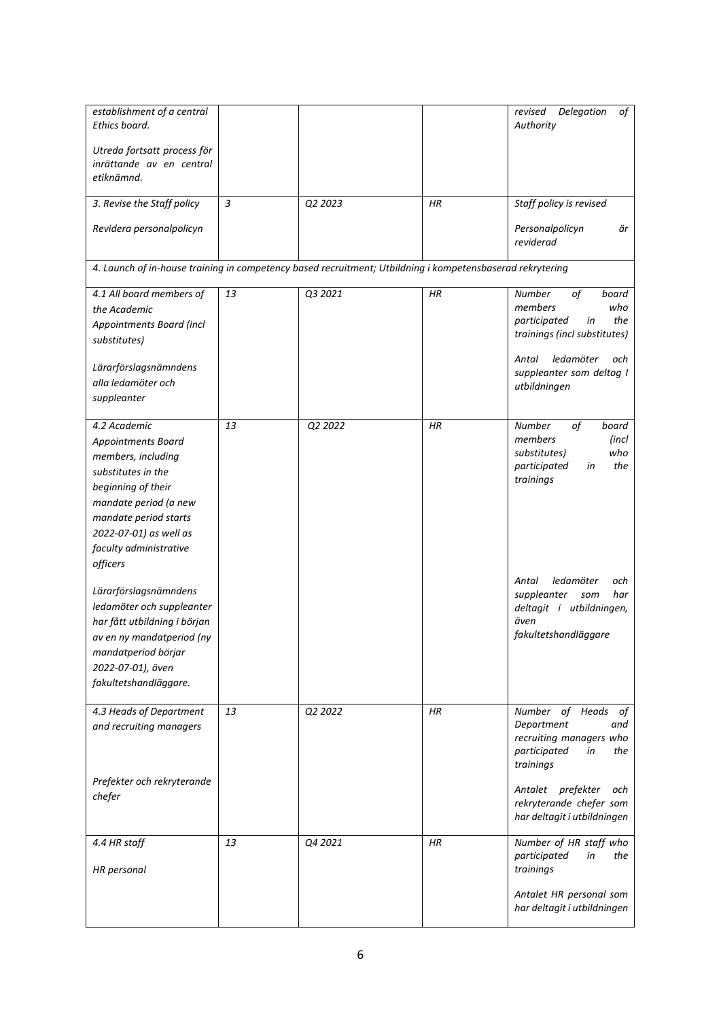| establishment of a central<br>Ethics board.<br>Utreda fortsatt process för<br>inrättande av en central                                                                                                                        |    |         |           | Delegation<br>revised<br>οf<br>Authority                                                                                                                                      |
|-------------------------------------------------------------------------------------------------------------------------------------------------------------------------------------------------------------------------------|----|---------|-----------|-------------------------------------------------------------------------------------------------------------------------------------------------------------------------------|
| etiknämnd.                                                                                                                                                                                                                    |    |         |           |                                                                                                                                                                               |
| 3. Revise the Staff policy                                                                                                                                                                                                    | 3  | Q2 2023 | HR        | Staff policy is revised                                                                                                                                                       |
| Revidera personalpolicyn                                                                                                                                                                                                      |    |         |           | Personalpolicyn<br>är<br>reviderad                                                                                                                                            |
| 4. Launch of in-house training in competency based recruitment; Utbildning i kompetensbaserad rekrytering                                                                                                                     |    |         |           |                                                                                                                                                                               |
| 4.1 All board members of<br>the Academic<br>Appointments Board (incl<br>substitutes)<br>Lärarförslagsnämndens<br>alla ledamöter och<br>suppleanter                                                                            | 13 | Q3 2021 | HR        | of<br>Number<br>board<br>members<br>who<br>participated<br>the<br>in<br>trainings (incl substitutes)<br>ledamöter<br>Antal<br>och<br>suppleanter som deltog I<br>utbildningen |
| 4.2 Academic<br><b>Appointments Board</b><br>members, including<br>substitutes in the<br>beginning of their<br>mandate period (a new<br>mandate period starts<br>2022-07-01) as well as<br>faculty administrative<br>officers | 13 | 02 2022 | <b>HR</b> | of<br>Number<br>board<br>members<br>(incl<br>substitutes)<br>who<br>participated<br>the<br>in<br>trainings                                                                    |
| Lärarförslagsnämndens<br>ledamöter och suppleanter<br>har fått utbildning i början<br>av en ny mandatperiod (ny<br>mandatperiod börjar<br>2022-07-01), även<br>fakultetshandläggare.                                          |    |         |           | ledamöter<br>Antal<br>och<br>suppleanter<br>har<br>som<br>deltagit i utbildningen,<br>även<br>fakultetshandläggare                                                            |
| 4.3 Heads of Department<br>and recruiting managers                                                                                                                                                                            | 13 | Q2 2022 | ΗR        | Number of Heads<br>οf<br>Department<br>and<br>recruiting managers who<br>participated<br>the<br>in<br>trainings                                                               |
| Prefekter och rekryterande<br>chefer                                                                                                                                                                                          |    |         |           | Antalet prefekter<br>och<br>rekryterande chefer som<br>har deltagit i utbildningen                                                                                            |
| 4.4 HR staff                                                                                                                                                                                                                  | 13 | Q4 2021 | HR        | Number of HR staff who<br>participated<br>the<br>in                                                                                                                           |
| <b>HR</b> personal                                                                                                                                                                                                            |    |         |           | trainings<br>Antalet HR personal som<br>har deltagit i utbildningen                                                                                                           |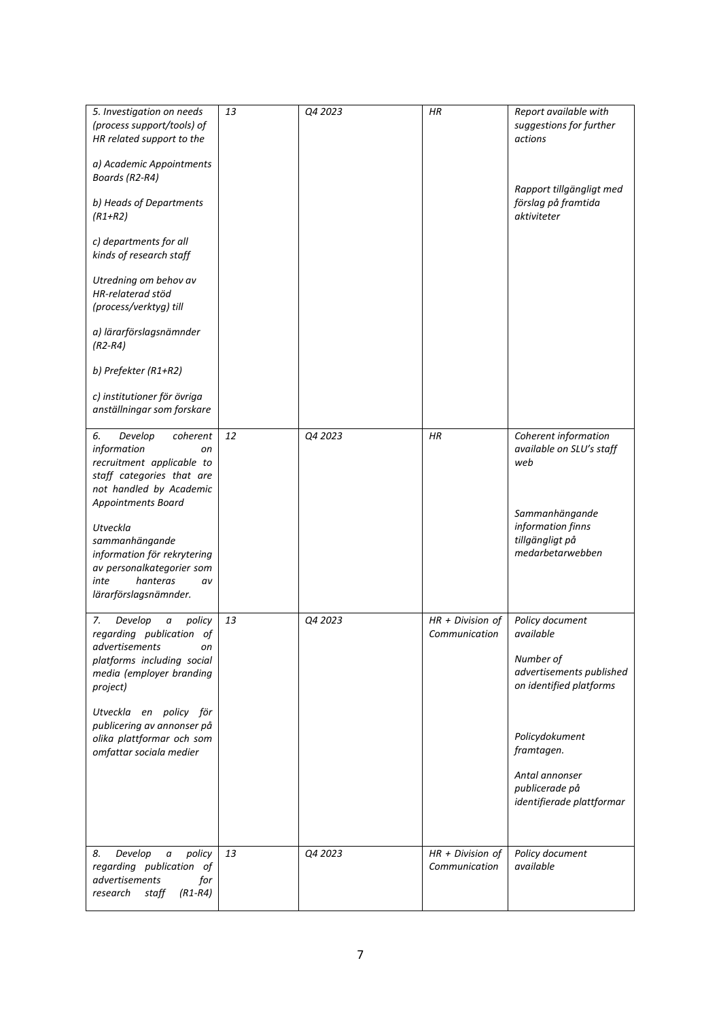| 5. Investigation on needs<br>(process support/tools) of<br>HR related support to the<br>a) Academic Appointments<br>Boards (R2-R4)<br>b) Heads of Departments<br>$(R1+R2)$<br>c) departments for all<br>kinds of research staff<br>Utredning om behov av<br>HR-relaterad stöd<br>(process/verktyg) till<br>a) lärarförslagsnämnder<br>$(R2-R4)$<br>b) Prefekter (R1+R2)<br>c) institutioner för övriga<br>anställningar som forskare | 13       | Q4 2023            | HR                                                        | Report available with<br>suggestions for further<br>actions<br>Rapport tillgängligt med<br>förslag på framtida<br>aktiviteter                                                                                        |
|--------------------------------------------------------------------------------------------------------------------------------------------------------------------------------------------------------------------------------------------------------------------------------------------------------------------------------------------------------------------------------------------------------------------------------------|----------|--------------------|-----------------------------------------------------------|----------------------------------------------------------------------------------------------------------------------------------------------------------------------------------------------------------------------|
| Develop<br>6.<br>coherent<br>information<br>on<br>recruitment applicable to<br>staff categories that are<br>not handled by Academic<br>Appointments Board<br>Utveckla<br>sammanhängande<br>information för rekrytering<br>av personalkategorier som<br>inte<br>hanteras<br>av<br>lärarförslagsnämnder.                                                                                                                               | 12       | Q4 2023            | HR                                                        | Coherent information<br>available on SLU's staff<br>web<br>Sammanhängande<br>information finns<br>tillgängligt på<br>medarbetarwebben                                                                                |
| Develop<br>policy<br>7.<br>а<br>regarding publication of<br>advertisements<br>on<br>platforms including social<br>media (employer branding<br>project)<br>Utveckla en policy för<br>publicering av annonser på<br>olika plattformar och som<br>omfattar sociala medier<br>Develop<br>policy<br>8.<br>$\boldsymbol{a}$                                                                                                                | 13<br>13 | Q4 2023<br>Q4 2023 | $HR + Division of$<br>Communication<br>$HR + Division of$ | Policy document<br>available<br>Number of<br>advertisements published<br>on identified platforms<br>Policydokument<br>framtagen.<br>Antal annonser<br>publicerade på<br>identifierade plattformar<br>Policy document |
| regarding publication of<br>advertisements<br>for<br>research<br>staff<br>$(R1-R4)$                                                                                                                                                                                                                                                                                                                                                  |          |                    | Communication                                             | available                                                                                                                                                                                                            |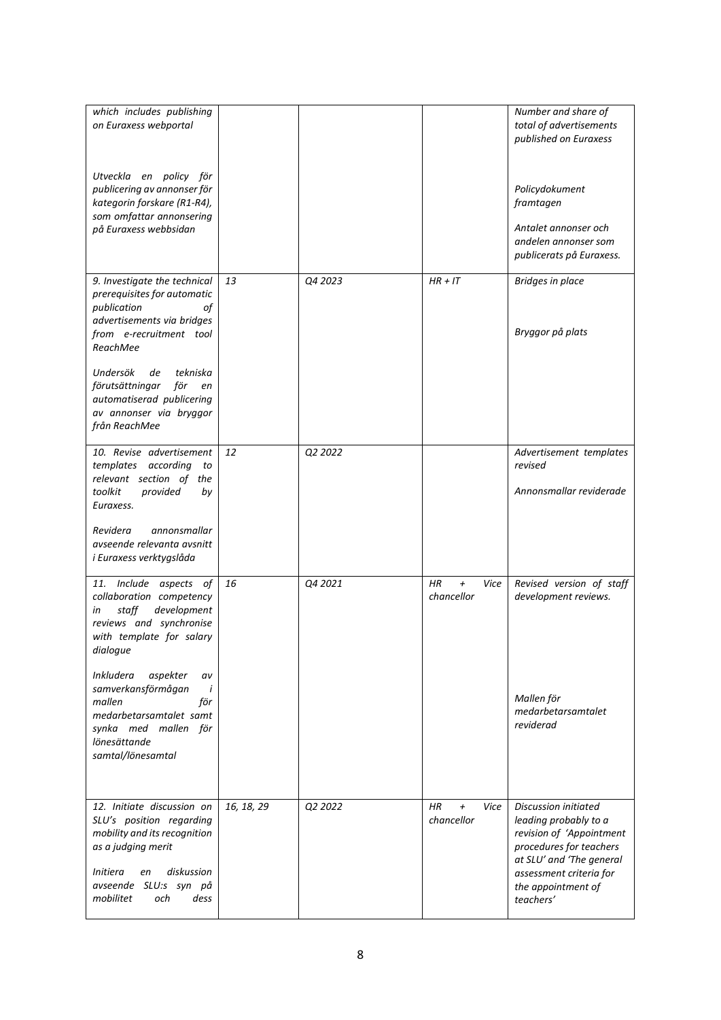| which includes publishing<br>on Euraxess webportal<br>Utveckla en policy för<br>publicering av annonser för<br>kategorin forskare (R1-R4),<br>som omfattar annonsering<br>på Euraxess webbsidan                                                                                                                               |            |         |                                                   | Number and share of<br>total of advertisements<br>published on Euraxess<br>Policydokument<br>framtagen<br>Antalet annonser och<br>andelen annonser som<br>publicerats på Euraxess.             |
|-------------------------------------------------------------------------------------------------------------------------------------------------------------------------------------------------------------------------------------------------------------------------------------------------------------------------------|------------|---------|---------------------------------------------------|------------------------------------------------------------------------------------------------------------------------------------------------------------------------------------------------|
| 9. Investigate the technical<br>prerequisites for automatic<br>publication<br>οf<br>advertisements via bridges<br>from e-recruitment tool<br>ReachMee<br>Undersök<br>tekniska<br>de<br>förutsättningar<br>för<br>en<br>automatiserad publicering<br>av annonser via bryggor<br>från ReachMee                                  | 13         | Q4 2023 | $HR + IT$                                         | Bridges in place<br>Bryggor på plats                                                                                                                                                           |
| 10. Revise advertisement<br>templates according<br>to<br>relevant section of the<br>toolkit<br>provided<br>by<br>Euraxess.<br>Revidera<br>annonsmallar<br>avseende relevanta avsnitt<br>i Euraxess verktygslåda                                                                                                               | 12         | Q2 2022 |                                                   | Advertisement templates<br>revised<br>Annonsmallar reviderade                                                                                                                                  |
| 11. Include aspects of<br>collaboration competency<br>development<br>staff<br>in<br>reviews and synchronise<br>with template for salary<br>dialogue<br><i>Inkludera</i><br>aspekter<br>av<br>samverkansförmågan<br>i<br>mallen<br>för<br>medarbetarsamtalet samt<br>synka med mallen för<br>lönesättande<br>samtal/lönesamtal | 16         | Q4 2021 | <b>HR</b><br>$\overline{+}$<br>Vice<br>chancellor | Revised version of staff<br>development reviews.<br>Mallen för<br>medarbetarsamtalet<br>reviderad                                                                                              |
| 12. Initiate discussion on<br>SLU's position regarding<br>mobility and its recognition<br>as a judging merit<br>diskussion<br>Initiera<br>en<br>SLU:s syn på<br>avseende<br>mobilitet<br>och<br>dess                                                                                                                          | 16, 18, 29 | Q2 2022 | ΗR<br>Vice<br>$\pmb{+}$<br>chancellor             | Discussion initiated<br>leading probably to a<br>revision of 'Appointment<br>procedures for teachers<br>at SLU' and 'The general<br>assessment criteria for<br>the appointment of<br>teachers' |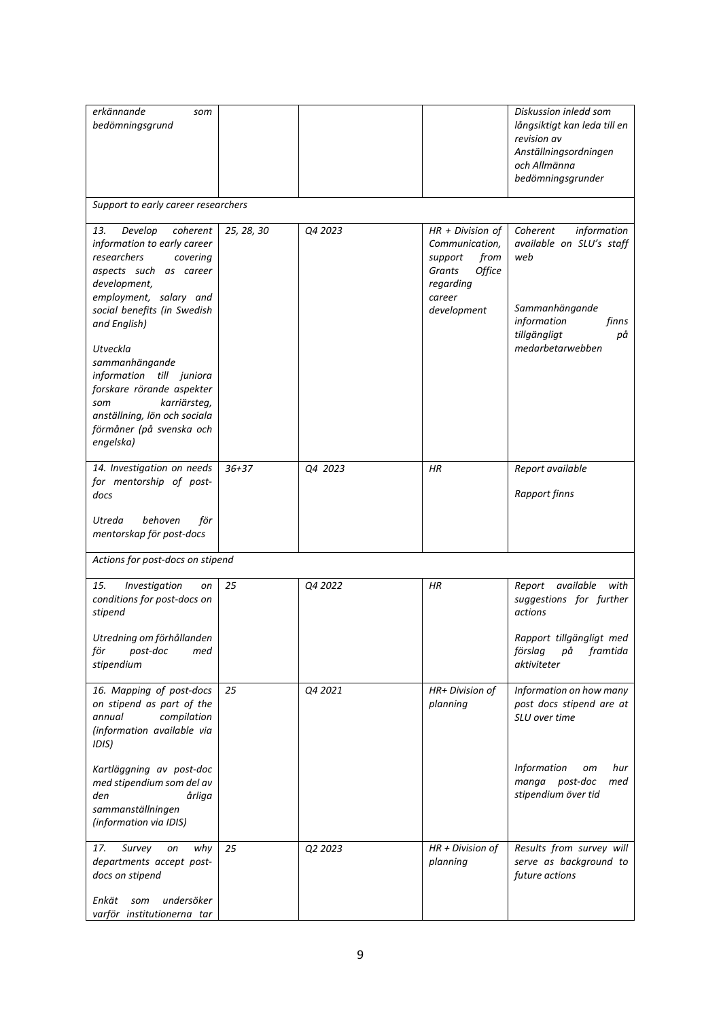| bedömningsgrund                                                                                                                                                                                                                                                                                                                                                                                |            |         |                                                                                                                   | långsiktigt kan leda till en<br>revision av<br>Anställningsordningen<br>och Allmänna<br>bedömningsgrunder                                      |
|------------------------------------------------------------------------------------------------------------------------------------------------------------------------------------------------------------------------------------------------------------------------------------------------------------------------------------------------------------------------------------------------|------------|---------|-------------------------------------------------------------------------------------------------------------------|------------------------------------------------------------------------------------------------------------------------------------------------|
| Support to early career researchers                                                                                                                                                                                                                                                                                                                                                            |            |         |                                                                                                                   |                                                                                                                                                |
| Develop<br>coherent<br>13.<br>information to early career<br>researchers<br>covering<br>aspects such as career<br>development,<br>employment, salary and<br>social benefits (in Swedish<br>and English)<br>Utveckla<br>sammanhängande<br>information till juniora<br>forskare rörande aspekter<br>karriärsteg,<br>som<br>anställning, lön och sociala<br>förmåner (på svenska och<br>engelska) | 25, 28, 30 | Q4 2023 | $HR + Division of$<br>Communication,<br>from<br>support<br>Office<br>Grants<br>regarding<br>career<br>development | Coherent<br>information<br>available on SLU's staff<br>web<br>Sammanhängande<br>information<br>finns<br>tillgängligt<br>рå<br>medarbetarwebben |
| 14. Investigation on needs<br>for mentorship of post-<br>docs<br>behoven<br>Utreda<br>för                                                                                                                                                                                                                                                                                                      | $36 + 37$  | Q4 2023 | HR                                                                                                                | Report available<br><b>Rapport finns</b>                                                                                                       |
| mentorskap för post-docs<br>Actions for post-docs on stipend                                                                                                                                                                                                                                                                                                                                   |            |         |                                                                                                                   |                                                                                                                                                |
|                                                                                                                                                                                                                                                                                                                                                                                                |            |         |                                                                                                                   |                                                                                                                                                |
| 15.<br>Investigation<br>on<br>conditions for post-docs on<br>stipend                                                                                                                                                                                                                                                                                                                           | 25         | Q4 2022 | <b>HR</b>                                                                                                         | available<br>Report<br>with<br>suggestions for further<br>actions                                                                              |
| Utredning om förhållanden<br>för<br>post-doc<br>med<br>stipendium                                                                                                                                                                                                                                                                                                                              |            |         |                                                                                                                   | Rapport tillgängligt med<br>förslag<br>framtida<br>рă<br>aktiviteter                                                                           |
| 16. Mapping of post-docs<br>on stipend as part of the<br>compilation<br>annual<br>(information available via<br>IDIS)                                                                                                                                                                                                                                                                          | 25         | Q4 2021 | HR+ Division of<br>planning                                                                                       | Information on how many<br>post docs stipend are at<br>SLU over time                                                                           |
| Kartläggning av post-doc<br>med stipendium som del av<br>den<br>årliga<br>sammanställningen<br>(information via IDIS)                                                                                                                                                                                                                                                                          |            |         |                                                                                                                   | Information<br>hur<br>om<br>manga post-doc<br>med<br>stipendium över tid                                                                       |
| 17.<br>Survey<br>why<br>on<br>departments accept post-<br>docs on stipend<br>Enkät<br>undersöker<br>som<br>varför institutionerna tar                                                                                                                                                                                                                                                          | 25         | Q2 2023 | $HR + Division of$<br>planning                                                                                    | Results from survey will<br>serve as background to<br>future actions                                                                           |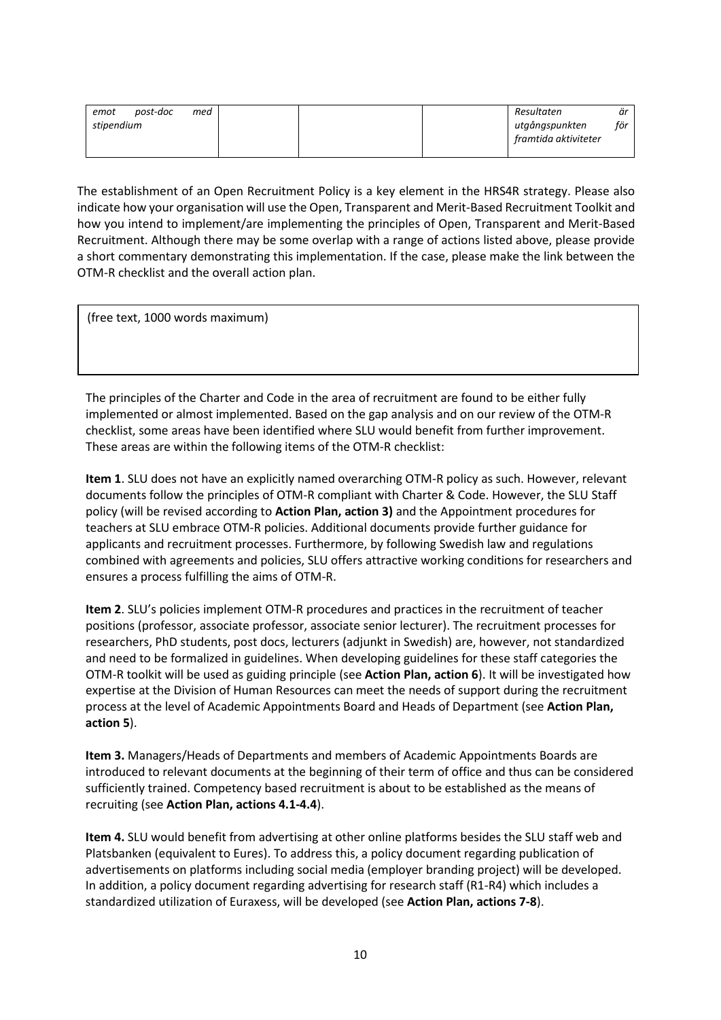| emot       | post-doc | med |  | Resultaten           | är  |
|------------|----------|-----|--|----------------------|-----|
| stipendium |          |     |  | utgångspunkten       | för |
|            |          |     |  | framtida aktiviteter |     |
|            |          |     |  |                      |     |

The establishment of an Open Recruitment Policy is a key element in the HRS4R strategy. Please also indicate how your organisation will use the Open, Transparent and Merit-Based Recruitment Toolkit and how you intend to implement/are implementing the principles of Open, Transparent and Merit-Based Recruitment. Although there may be some overlap with a range of actions listed above, please provide a short commentary demonstrating this implementation. If the case, please make the link between the OTM-R checklist and the overall action plan.

(free text, 1000 words maximum)

The principles of the Charter and Code in the area of recruitment are found to be either fully implemented or almost implemented. Based on the gap analysis and on our review of the OTM-R checklist, some areas have been identified where SLU would benefit from further improvement. These areas are within the following items of the OTM-R checklist:

**Item 1**. SLU does not have an explicitly named overarching OTM-R policy as such. However, relevant documents follow the principles of OTM-R compliant with Charter & Code. However, the SLU Staff policy (will be revised according to **Action Plan, action 3)** and the Appointment procedures for teachers at SLU embrace OTM-R policies. Additional documents provide further guidance for applicants and recruitment processes. Furthermore, by following Swedish law and regulations combined with agreements and policies, SLU offers attractive working conditions for researchers and ensures a process fulfilling the aims of OTM-R.

**Item 2**. SLU's policies implement OTM-R procedures and practices in the recruitment of teacher positions (professor, associate professor, associate senior lecturer). The recruitment processes for researchers, PhD students, post docs, lecturers (adjunkt in Swedish) are, however, not standardized and need to be formalized in guidelines. When developing guidelines for these staff categories the OTM-R toolkit will be used as guiding principle (see **Action Plan, action 6**). It will be investigated how expertise at the Division of Human Resources can meet the needs of support during the recruitment process at the level of Academic Appointments Board and Heads of Department (see **Action Plan, action 5**).

**Item 3.** Managers/Heads of Departments and members of Academic Appointments Boards are introduced to relevant documents at the beginning of their term of office and thus can be considered sufficiently trained. Competency based recruitment is about to be established as the means of recruiting (see **Action Plan, actions 4.1-4.4**).

**Item 4.** SLU would benefit from advertising at other online platforms besides the SLU staff web and Platsbanken (equivalent to Eures). To address this, a policy document regarding publication of advertisements on platforms including social media (employer branding project) will be developed. In addition, a policy document regarding advertising for research staff (R1-R4) which includes a standardized utilization of Euraxess, will be developed (see **Action Plan, actions 7-8**).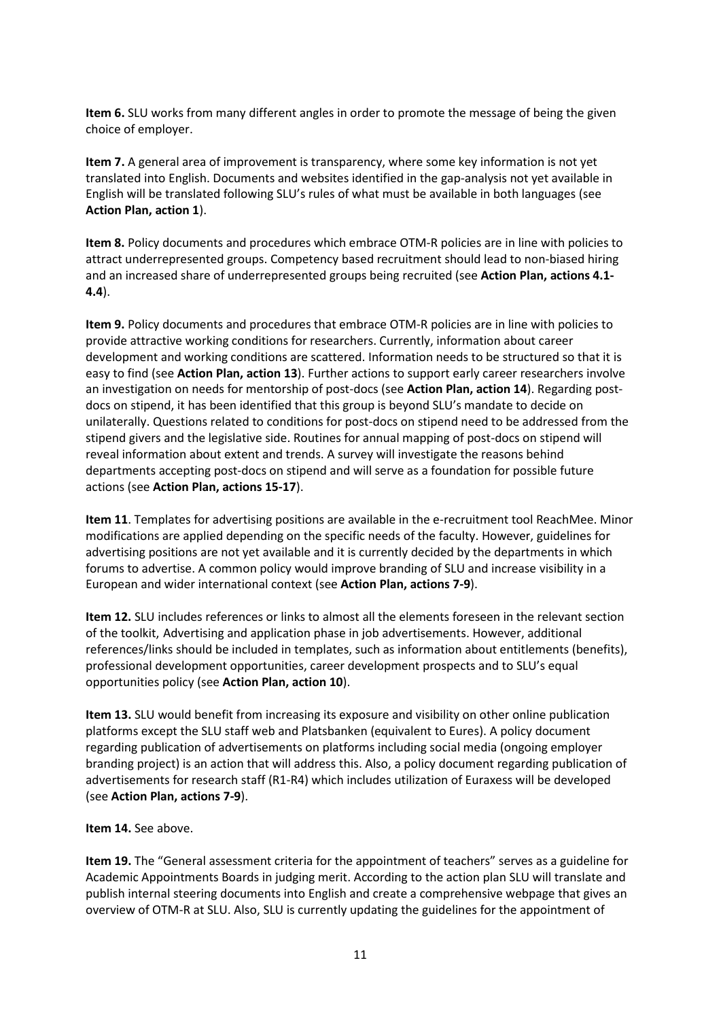**Item 6.** SLU works from many different angles in order to promote the message of being the given choice of employer.

**Item 7.** A general area of improvement is transparency, where some key information is not yet translated into English. Documents and websites identified in the gap-analysis not yet available in English will be translated following SLU's rules of what must be available in both languages (see **Action Plan, action 1**).

**Item 8.** Policy documents and procedures which embrace OTM-R policies are in line with policies to attract underrepresented groups. Competency based recruitment should lead to non-biased hiring and an increased share of underrepresented groups being recruited (see **Action Plan, actions 4.1- 4.4**).

**Item 9.** Policy documents and procedures that embrace OTM-R policies are in line with policies to provide attractive working conditions for researchers. Currently, information about career development and working conditions are scattered. Information needs to be structured so that it is easy to find (see **Action Plan, action 13**). Further actions to support early career researchers involve an investigation on needs for mentorship of post-docs (see **Action Plan, action 14**). Regarding postdocs on stipend, it has been identified that this group is beyond SLU's mandate to decide on unilaterally. Questions related to conditions for post-docs on stipend need to be addressed from the stipend givers and the legislative side. Routines for annual mapping of post-docs on stipend will reveal information about extent and trends. A survey will investigate the reasons behind departments accepting post-docs on stipend and will serve as a foundation for possible future actions (see **Action Plan, actions 15-17**).

**Item 11**. Templates for advertising positions are available in the e-recruitment tool ReachMee. Minor modifications are applied depending on the specific needs of the faculty. However, guidelines for advertising positions are not yet available and it is currently decided by the departments in which forums to advertise. A common policy would improve branding of SLU and increase visibility in a European and wider international context (see **Action Plan, actions 7-9**).

**Item 12.** SLU includes references or links to almost all the elements foreseen in the relevant section of the toolkit, Advertising and application phase in job advertisements. However, additional references/links should be included in templates, such as information about entitlements (benefits), professional development opportunities, career development prospects and to SLU's equal opportunities policy (see **Action Plan, action 10**).

**Item 13.** SLU would benefit from increasing its exposure and visibility on other online publication platforms except the SLU staff web and Platsbanken (equivalent to Eures). A policy document regarding publication of advertisements on platforms including social media (ongoing employer branding project) is an action that will address this. Also, a policy document regarding publication of advertisements for research staff (R1-R4) which includes utilization of Euraxess will be developed (see **Action Plan, actions 7-9**).

#### **Item 14.** See above.

**Item 19.** The "General assessment criteria for the appointment of teachers" serves as a guideline for Academic Appointments Boards in judging merit. According to the action plan SLU will translate and publish internal steering documents into English and create a comprehensive webpage that gives an overview of OTM-R at SLU. Also, SLU is currently updating the guidelines for the appointment of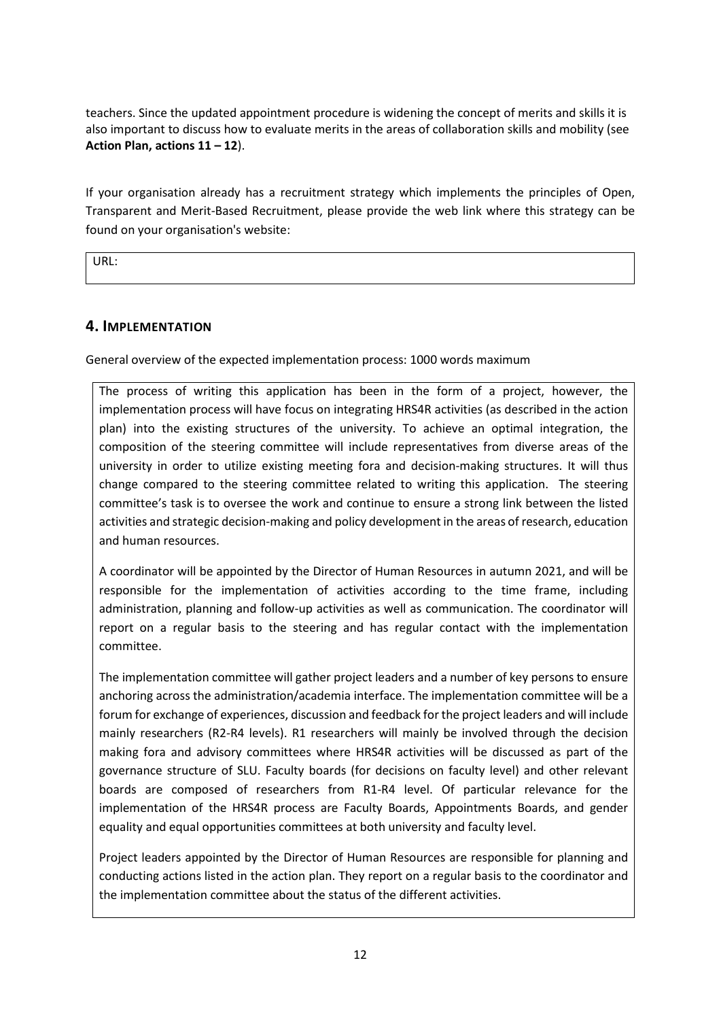teachers. Since the updated appointment procedure is widening the concept of merits and skills it is also important to discuss how to evaluate merits in the areas of collaboration skills and mobility (see **Action Plan, actions 11 – 12**).

If your organisation already has a recruitment strategy which implements the principles of Open, Transparent and Merit-Based Recruitment, please provide the web link where this strategy can be found on your organisation's website:

URL:

## **4. IMPLEMENTATION**

General overview of the expected implementation process: 1000 words maximum

The process of writing this application has been in the form of a project, however, the implementation process will have focus on integrating HRS4R activities (as described in the action plan) into the existing structures of the university. To achieve an optimal integration, the composition of the steering committee will include representatives from diverse areas of the university in order to utilize existing meeting fora and decision-making structures. It will thus change compared to the steering committee related to writing this application. The steering committee's task is to oversee the work and continue to ensure a strong link between the listed activities and strategic decision-making and policy development in the areas of research, education and human resources.

A coordinator will be appointed by the Director of Human Resources in autumn 2021, and will be responsible for the implementation of activities according to the time frame, including administration, planning and follow-up activities as well as communication. The coordinator will report on a regular basis to the steering and has regular contact with the implementation committee.

The implementation committee will gather project leaders and a number of key persons to ensure anchoring across the administration/academia interface. The implementation committee will be a forum for exchange of experiences, discussion and feedback for the project leaders and will include mainly researchers (R2-R4 levels). R1 researchers will mainly be involved through the decision making fora and advisory committees where HRS4R activities will be discussed as part of the governance structure of SLU. Faculty boards (for decisions on faculty level) and other relevant boards are composed of researchers from R1-R4 level. Of particular relevance for the implementation of the HRS4R process are Faculty Boards, Appointments Boards, and gender equality and equal opportunities committees at both university and faculty level.

Project leaders appointed by the Director of Human Resources are responsible for planning and conducting actions listed in the action plan. They report on a regular basis to the coordinator and the implementation committee about the status of the different activities.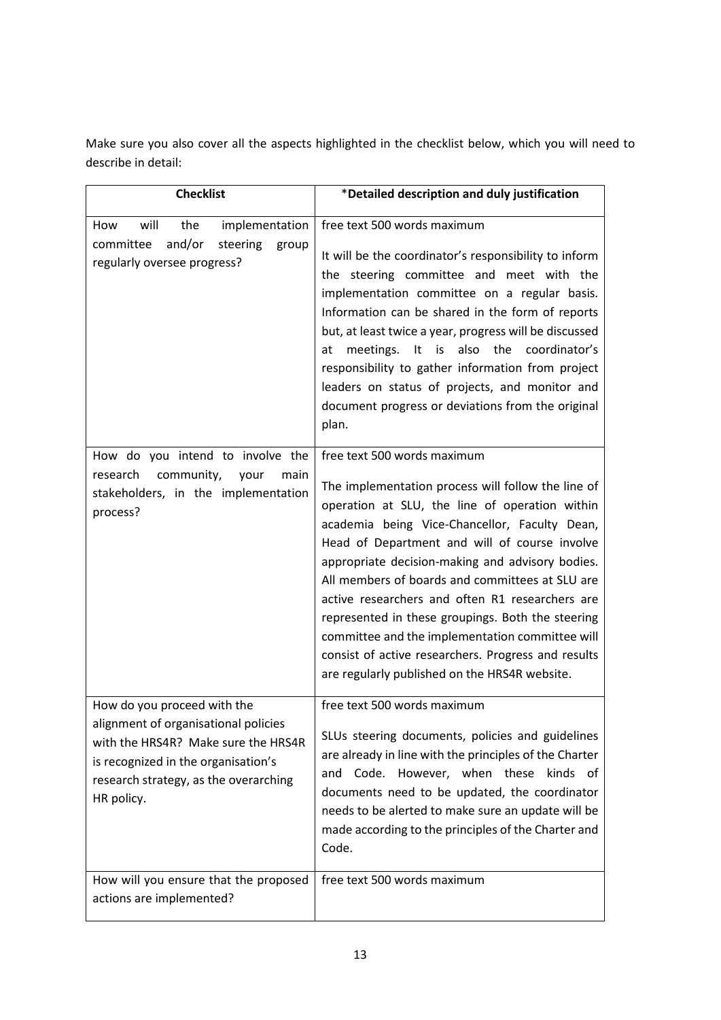Make sure you also cover all the aspects highlighted in the checklist below, which you will need to describe in detail:

| <b>Checklist</b>                                                                                                                                                                                         | *Detailed description and duly justification                                                                                                                                                                                                                                                                                                                                                                                                                                                                                                                                                                    |
|----------------------------------------------------------------------------------------------------------------------------------------------------------------------------------------------------------|-----------------------------------------------------------------------------------------------------------------------------------------------------------------------------------------------------------------------------------------------------------------------------------------------------------------------------------------------------------------------------------------------------------------------------------------------------------------------------------------------------------------------------------------------------------------------------------------------------------------|
| will<br>implementation<br>How<br>the<br>and/or<br>committee<br>steering<br>group<br>regularly oversee progress?                                                                                          | free text 500 words maximum<br>It will be the coordinator's responsibility to inform<br>the steering committee and meet with the<br>implementation committee on a regular basis.<br>Information can be shared in the form of reports<br>but, at least twice a year, progress will be discussed<br>meetings. It is also the coordinator's<br>at<br>responsibility to gather information from project<br>leaders on status of projects, and monitor and<br>document progress or deviations from the original<br>plan.                                                                                             |
| How do you intend to involve the<br>community,<br>research<br>your<br>main<br>stakeholders, in the implementation<br>process?                                                                            | free text 500 words maximum<br>The implementation process will follow the line of<br>operation at SLU, the line of operation within<br>academia being Vice-Chancellor, Faculty Dean,<br>Head of Department and will of course involve<br>appropriate decision-making and advisory bodies.<br>All members of boards and committees at SLU are<br>active researchers and often R1 researchers are<br>represented in these groupings. Both the steering<br>committee and the implementation committee will<br>consist of active researchers. Progress and results<br>are regularly published on the HRS4R website. |
| How do you proceed with the<br>alignment of organisational policies<br>with the HRS4R? Make sure the HRS4R<br>is recognized in the organisation's<br>research strategy, as the overarching<br>HR policy. | free text 500 words maximum<br>SLUs steering documents, policies and guidelines<br>are already in line with the principles of the Charter<br>Code. However, when these<br>kinds of<br>and<br>documents need to be updated, the coordinator<br>needs to be alerted to make sure an update will be<br>made according to the principles of the Charter and<br>Code.                                                                                                                                                                                                                                                |
| How will you ensure that the proposed<br>actions are implemented?                                                                                                                                        | free text 500 words maximum                                                                                                                                                                                                                                                                                                                                                                                                                                                                                                                                                                                     |